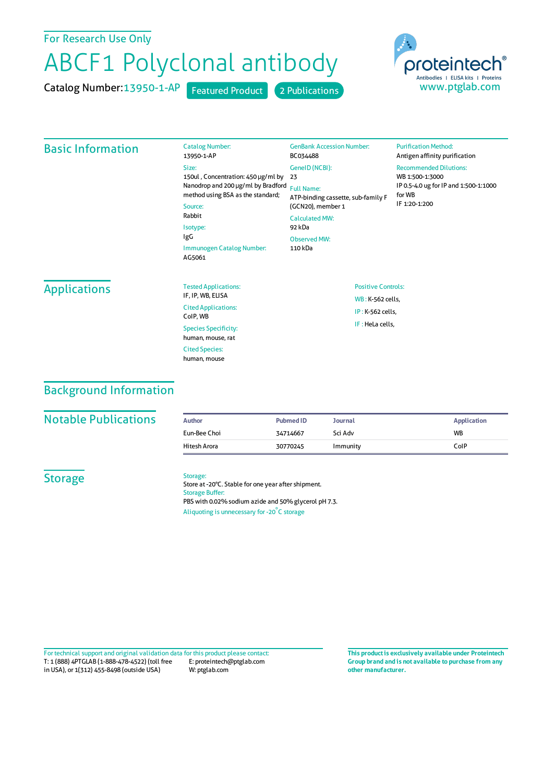# For Research Use Only

# ABCF1 Polyclonal antibody

Catalog Number:13950-1-AP Featured Product 2 Publications



#### Basic Information Catalog Number: 13950-1-AP Size: 150ul , Concentration: 450 μg/ml by 23 Nanodrop and 200 μg/ml by Bradford Full Name: method using BSA as the standard; Source: Rabbit Isotype: IgG Immunogen Catalog Number: AG5061 GenBank Accession Number: BC034488 GeneID(NCBI): ATP-binding cassette, sub-family F (GCN20), member 1 CalculatedMW: 92 kDa Observed MW: 110 kDa **Purification Method:** Antigen affinity purification Recommended Dilutions: WB 1:500-1:3000 IP 0.5-4.0 ug forIP and 1:500-1:1000 forWB IF 1:20-1:200 Applications Tested Applications: IF, IP, WB, ELISA Cited Applications: CoIP, WB Species Specificity: human, mouse, rat Cited Species: human, mouse Positive Controls: WB : K-562 cells, IP : K-562 cells, IF : HeLa cells,

# Background Information

### **Notable Publications**

| Author       | <b>Pubmed ID</b> | <b>Journal</b> | Application |
|--------------|------------------|----------------|-------------|
| Eun-Bee Choi | 34714667         | Sci Adv        | <b>WB</b>   |
| Hitesh Arora | 30770245         | Immunity       | ColP        |

## **Storage**

#### Storage:

Store at -20°C. Stable for one year after shipment. Storage Buffer: PBS with 0.02% sodium azide and 50% glycerol pH 7.3. Aliquoting is unnecessary for -20<sup>°</sup>C storage

T: 1 (888) 4PTGLAB (1-888-478-4522) (toll free in USA), or 1(312) 455-8498 (outside USA) E: proteintech@ptglab.com W: ptglab.com Fortechnical support and original validation data forthis product please contact: **This productis exclusively available under Proteintech**

**Group brand and is not available to purchase from any other manufacturer.**